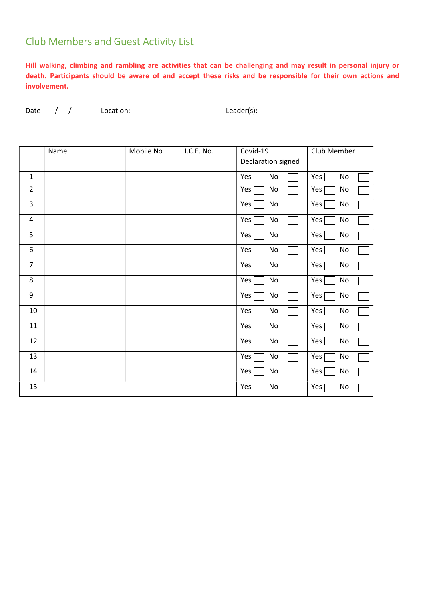Hill walking, climbing and rambling are activities that can be challenging and may result in personal injury or death. Participants should be aware of and accept these risks and be responsible for their own actions and involvement.

| Date |  |  | Location: | Leader(s): |
|------|--|--|-----------|------------|
|------|--|--|-----------|------------|

|                  | Name | Mobile No | I.C.E. No. | Covid-19               | Club Member |
|------------------|------|-----------|------------|------------------------|-------------|
|                  |      |           |            | Declaration signed     |             |
| $\mathbf 1$      |      |           |            | No<br>Yes              | Yes<br>No   |
| $\overline{2}$   |      |           |            | Yes<br>No              | Yes  <br>No |
| 3                |      |           |            | Yes<br>$\mathsf{No}$   | Yes  <br>No |
| 4                |      |           |            | Yes  <br>No            | Yes  <br>No |
| 5                |      |           |            | Yes<br>No              | Yes  <br>No |
| 6                |      |           |            | $\mathsf{No}$<br>Yes   | Yes  <br>No |
| $\overline{7}$   |      |           |            | Yes  <br>No            | Yes [<br>No |
| 8                |      |           |            | Yes  <br>No            | Yes  <br>No |
| $\boldsymbol{9}$ |      |           |            | Yes  <br>No            | Yes  <br>No |
| 10               |      |           |            | Yes<br>No              | Yes<br>No   |
| 11               |      |           |            | Yes  <br>No            | Yes<br>No   |
| 12               |      |           |            | Yes<br>$\mathsf{No}$   | Yes<br>No   |
| 13               |      |           |            | Yes  <br>$\mathsf{No}$ | Yes  <br>No |
| 14               |      |           |            | Yes<br>No              | Yes<br>No   |
| 15               |      |           |            | Yes<br>No              | Yes  <br>No |